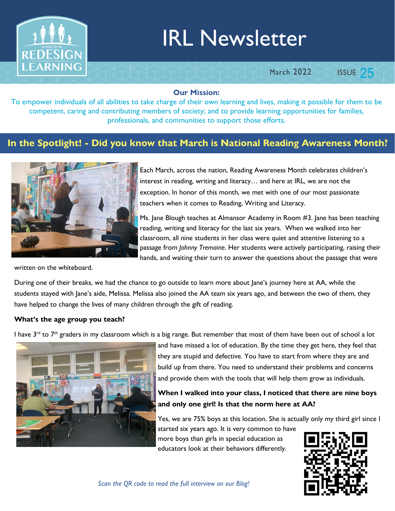

# IRL Newsletter

**March 2022** 

**ISSUE 25** 

#### Our Mission:

To empower individuals of all abilities to take charge of their own learning and lives, making it possible for them to be competent, caring and contributing members of society; and to provide learning opportunities for families, professionals, and communities to support those efforts.

### In the Spotlight! - Did you know that March is National Reading Awareness Month?



written on the whiteboard.

Each March, across the nation, Reading Awareness Month celebrates children's interest in reading, writing and literacy… and here at IRL, we are not the exception. In honor of this month, we met with one of our most passionate teachers when it comes to Reading, Writing and Literacy.

Ms. Jane Blough teaches at Almansor Academy in Room #3. Jane has been teaching reading, writing and literacy for the last six years. When we walked into her classroom, all nine students in her class were quiet and attentive listening to a passage from Johnny Tremaine. Her students were actively participating, raising their hands, and waiting their turn to answer the questions about the passage that were

During one of their breaks, we had the chance to go outside to learn more about Jane's journey here at AA, while the students stayed with Jane's aide, Melissa. Melissa also joined the AA team six years ago, and between the two of them, they have helped to change the lives of many children through the gift of reading.

#### What's the age group you teach?

I have 3<sup>rd</sup> to 7<sup>th</sup> graders in my classroom which is a big range. But remember that most of them have been out of school a lot



and have missed a lot of education. By the time they get here, they feel that they are stupid and defective. You have to start from where they are and build up from there. You need to understand their problems and concerns and provide them with the tools that will help them grow as individuals.

#### When I walked into your class, I noticed that there are nine boys and only one girl! Is that the norm here at AA?

Yes, we are 75% boys at this location. She is actually only my third girl since I

started six years ago. It is very common to have more boys than girls in special education as educators look at their behaviors differently.